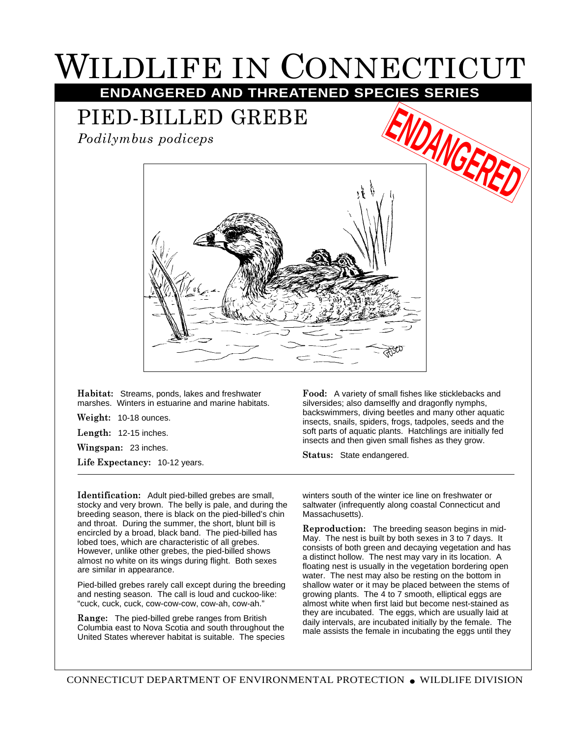## WILDLIFE IN CONNECTICUT **ENDANGERED AND THREATENED SPECIES SERIES**

## PIED-BILLED GREBE

*Podilymbus podiceps*



**Habitat:** Streams, ponds, lakes and freshwater marshes. Winters in estuarine and marine habitats.

**Weight:** 10-18 ounces.

**Length:** 12-15 inches.

**Wingspan:** 23 inches.

**Life Expectancy:** 10-12 years.

**Identification:** Adult pied-billed grebes are small, stocky and very brown. The belly is pale, and during the breeding season, there is black on the pied-billed's chin and throat. During the summer, the short, blunt bill is encircled by a broad, black band. The pied-billed has lobed toes, which are characteristic of all grebes. However, unlike other grebes, the pied-billed shows almost no white on its wings during flight. Both sexes are similar in appearance.

Pied-billed grebes rarely call except during the breeding and nesting season. The call is loud and cuckoo-like: "cuck, cuck, cuck, cow-cow-cow, cow-ah, cow-ah."

**Range:** The pied-billed grebe ranges from British Columbia east to Nova Scotia and south throughout the United States wherever habitat is suitable. The species **Food:** A variety of small fishes like sticklebacks and silversides; also damselfly and dragonfly nymphs, backswimmers, diving beetles and many other aquatic insects, snails, spiders, frogs, tadpoles, seeds and the soft parts of aquatic plants. Hatchlings are initially fed insects and then given small fishes as they grow.

**Status:** State endangered.

winters south of the winter ice line on freshwater or saltwater (infrequently along coastal Connecticut and Massachusetts).

**Reproduction:** The breeding season begins in mid-May. The nest is built by both sexes in 3 to 7 days. It consists of both green and decaying vegetation and has a distinct hollow. The nest may vary in its location. A floating nest is usually in the vegetation bordering open water. The nest may also be resting on the bottom in shallow water or it may be placed between the stems of growing plants. The 4 to 7 smooth, elliptical eggs are almost white when first laid but become nest-stained as they are incubated. The eggs, which are usually laid at daily intervals, are incubated initially by the female. The male assists the female in incubating the eggs until they